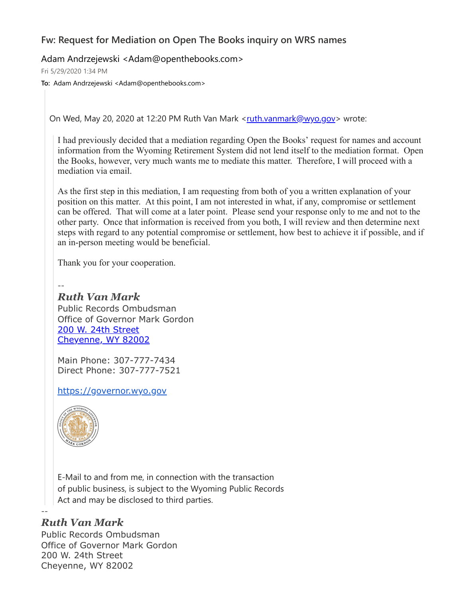## **Fw: Request for Mediation on Open The Books inquiry on WRS names**

Adam Andrzejewski <Adam@openthebooks.com>

Fri 5/29/2020 1:34 PM

**To:** Adam Andrzejewski <Adam@openthebooks.com>

On Wed, May 20, 2020 at 12:20 PM Ruth Van Mark <[ruth.vanmark@wyo.gov>](mailto:ruth.vanmark@wyo.gov) wrote:

I had previously decided that a mediation regarding Open the Books' request for names and account information from the Wyoming Retirement System did not lend itself to the mediation format. Open the Books, however, very much wants me to mediate this matter. Therefore, I will proceed with a mediation via email.

As the first step in this mediation, I am requesting from both of you a written explanation of your position on this matter. At this point, I am not interested in what, if any, compromise or settlement can be offered. That will come at a later point. Please send your response only to me and not to the other party. Once that information is received from you both, I will review and then determine next steps with regard to any potential compromise or settlement, how best to achieve it if possible, and if an in-person meeting would be beneficial.

Thank you for your cooperation.

--

*Ruth Van Mark*

Public Records Ombudsman Office of Governor Mark Gordon [200 W. 24th Street](https://www.google.com/maps/search/200+W.+24th+Street+Cheyenne,+WY+82002?entry=gmail&source=g) [Cheyenne, WY 82002](https://www.google.com/maps/search/200+W.+24th+Street+Cheyenne,+WY+82002?entry=gmail&source=g)

Main Phone: 307-777-7434 Direct Phone: 307-777-7521

[https://governor.wyo.gov](https://governor.wyo.gov/)



E-Mail to and from me, in connection with the transaction of public business, is subject to the Wyoming Public Records Act and may be disclosed to third parties.

## *Ruth Van Mark*

--

Public Records Ombudsman Office of Governor Mark Gordon 200 W. 24th Street Cheyenne, WY 82002